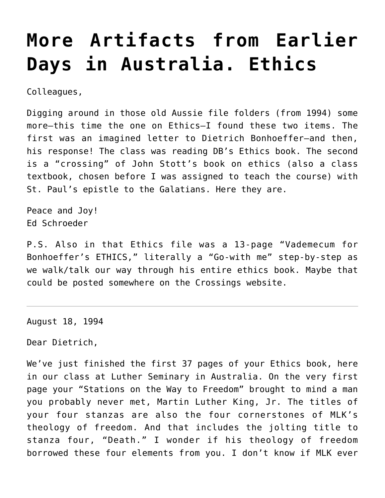# **[More Artifacts from Earlier](https://crossings.org/more-artifacts-from-earlier-days-in-australia-ethics/) [Days in Australia. Ethics](https://crossings.org/more-artifacts-from-earlier-days-in-australia-ethics/)**

Colleagues,

Digging around in those old Aussie file folders (from 1994) some more–this time the one on Ethics–I found these two items. The first was an imagined letter to Dietrich Bonhoeffer–and then, his response! The class was reading DB's Ethics book. The second is a "crossing" of John Stott's book on ethics (also a class textbook, chosen before I was assigned to teach the course) with St. Paul's epistle to the Galatians. Here they are.

Peace and Joy! Ed Schroeder

P.S. Also in that Ethics file was a 13-page "Vademecum for Bonhoeffer's ETHICS," literally a "Go-with me" step-by-step as we walk/talk our way through his entire ethics book. Maybe that could be posted somewhere on the Crossings website.

August 18, 1994

Dear Dietrich,

We've just finished the first 37 pages of your Ethics book, here in our class at Luther Seminary in Australia. On the very first page your "Stations on the Way to Freedom" brought to mind a man you probably never met, Martin Luther King, Jr. The titles of your four stanzas are also the four cornerstones of MLK's theology of freedom. And that includes the jolting title to stanza four, "Death." I wonder if his theology of freedom borrowed these four elements from you. I don't know if MLK ever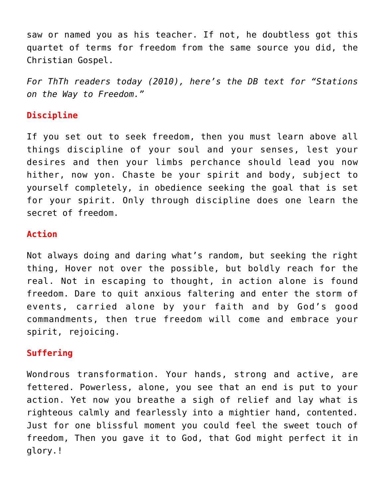saw or named you as his teacher. If not, he doubtless got this quartet of terms for freedom from the same source you did, the Christian Gospel.

*For ThTh readers today (2010), here's the DB text for "Stations on the Way to Freedom."*

# **Discipline**

If you set out to seek freedom, then you must learn above all things discipline of your soul and your senses, lest your desires and then your limbs perchance should lead you now hither, now yon. Chaste be your spirit and body, subject to yourself completely, in obedience seeking the goal that is set for your spirit. Only through discipline does one learn the secret of freedom.

### **Action**

Not always doing and daring what's random, but seeking the right thing, Hover not over the possible, but boldly reach for the real. Not in escaping to thought, in action alone is found freedom. Dare to quit anxious faltering and enter the storm of events, carried alone by your faith and by God's good commandments, then true freedom will come and embrace your spirit, rejoicing.

# **Suffering**

Wondrous transformation. Your hands, strong and active, are fettered. Powerless, alone, you see that an end is put to your action. Yet now you breathe a sigh of relief and lay what is righteous calmly and fearlessly into a mightier hand, contented. Just for one blissful moment you could feel the sweet touch of freedom, Then you gave it to God, that God might perfect it in glory.!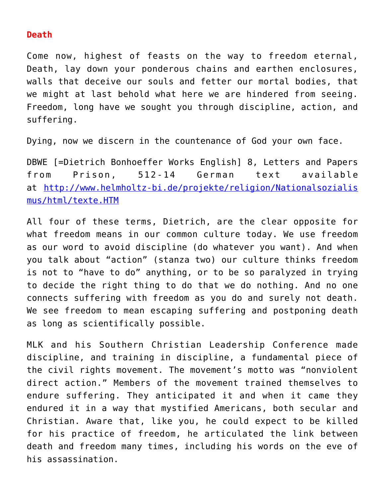#### **Death**

Come now, highest of feasts on the way to freedom eternal, Death, lay down your ponderous chains and earthen enclosures, walls that deceive our souls and fetter our mortal bodies, that we might at last behold what here we are hindered from seeing. Freedom, long have we sought you through discipline, action, and suffering.

Dying, now we discern in the countenance of God your own face.

DBWE [=Dietrich Bonhoeffer Works English] 8, Letters and Papers from Prison, 512-14 German text available at [http://www.helmholtz-bi.de/projekte/religion/Nationalsozialis](http://www.helmholtz-bi.de/projekte/religion/Nationalsozialismus/html/texte.HTM) [mus/html/texte.HTM](http://www.helmholtz-bi.de/projekte/religion/Nationalsozialismus/html/texte.HTM)

All four of these terms, Dietrich, are the clear opposite for what freedom means in our common culture today. We use freedom as our word to avoid discipline (do whatever you want). And when you talk about "action" (stanza two) our culture thinks freedom is not to "have to do" anything, or to be so paralyzed in trying to decide the right thing to do that we do nothing. And no one connects suffering with freedom as you do and surely not death. We see freedom to mean escaping suffering and postponing death as long as scientifically possible.

MLK and his Southern Christian Leadership Conference made discipline, and training in discipline, a fundamental piece of the civil rights movement. The movement's motto was "nonviolent direct action." Members of the movement trained themselves to endure suffering. They anticipated it and when it came they endured it in a way that mystified Americans, both secular and Christian. Aware that, like you, he could expect to be killed for his practice of freedom, he articulated the link between death and freedom many times, including his words on the eve of his assassination.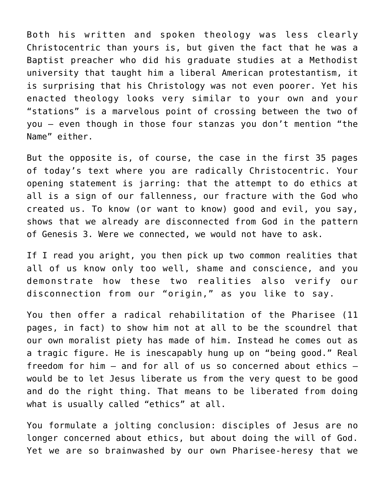Both his written and spoken theology was less clearly Christocentric than yours is, but given the fact that he was a Baptist preacher who did his graduate studies at a Methodist university that taught him a liberal American protestantism, it is surprising that his Christology was not even poorer. Yet his enacted theology looks very similar to your own and your "stations" is a marvelous point of crossing between the two of you — even though in those four stanzas you don't mention "the Name" either.

But the opposite is, of course, the case in the first 35 pages of today's text where you are radically Christocentric. Your opening statement is jarring: that the attempt to do ethics at all is a sign of our fallenness, our fracture with the God who created us. To know (or want to know) good and evil, you say, shows that we already are disconnected from God in the pattern of Genesis 3. Were we connected, we would not have to ask.

If I read you aright, you then pick up two common realities that all of us know only too well, shame and conscience, and you demonstrate how these two realities also verify our disconnection from our "origin," as you like to say.

You then offer a radical rehabilitation of the Pharisee (11 pages, in fact) to show him not at all to be the scoundrel that our own moralist piety has made of him. Instead he comes out as a tragic figure. He is inescapably hung up on "being good." Real freedom for him — and for all of us so concerned about ethics would be to let Jesus liberate us from the very quest to be good and do the right thing. That means to be liberated from doing what is usually called "ethics" at all.

You formulate a jolting conclusion: disciples of Jesus are no longer concerned about ethics, but about doing the will of God. Yet we are so brainwashed by our own Pharisee-heresy that we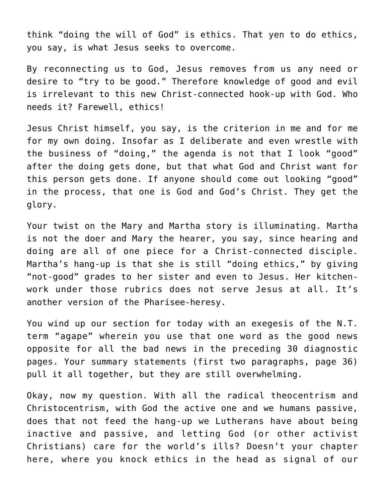think "doing the will of God" is ethics. That yen to do ethics, you say, is what Jesus seeks to overcome.

By reconnecting us to God, Jesus removes from us any need or desire to "try to be good." Therefore knowledge of good and evil is irrelevant to this new Christ-connected hook-up with God. Who needs it? Farewell, ethics!

Jesus Christ himself, you say, is the criterion in me and for me for my own doing. Insofar as I deliberate and even wrestle with the business of "doing," the agenda is not that I look "good" after the doing gets done, but that what God and Christ want for this person gets done. If anyone should come out looking "good" in the process, that one is God and God's Christ. They get the glory.

Your twist on the Mary and Martha story is illuminating. Martha is not the doer and Mary the hearer, you say, since hearing and doing are all of one piece for a Christ-connected disciple. Martha's hang-up is that she is still "doing ethics," by giving "not-good" grades to her sister and even to Jesus. Her kitchenwork under those rubrics does not serve Jesus at all. It's another version of the Pharisee-heresy.

You wind up our section for today with an exegesis of the N.T. term "agape" wherein you use that one word as the good news opposite for all the bad news in the preceding 30 diagnostic pages. Your summary statements (first two paragraphs, page 36) pull it all together, but they are still overwhelming.

Okay, now my question. With all the radical theocentrism and Christocentrism, with God the active one and we humans passive, does that not feed the hang-up we Lutherans have about being inactive and passive, and letting God (or other activist Christians) care for the world's ills? Doesn't your chapter here, where you knock ethics in the head as signal of our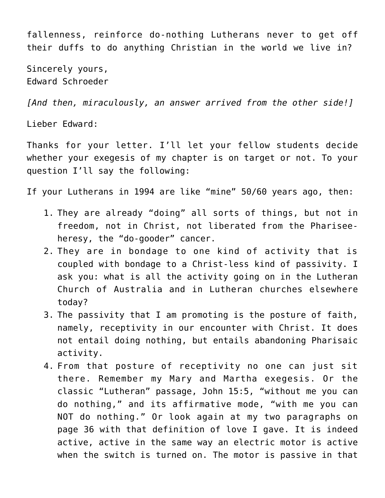fallenness, reinforce do-nothing Lutherans never to get off their duffs to do anything Christian in the world we live in?

Sincerely yours, Edward Schroeder

*[And then, miraculously, an answer arrived from the other side!]*

Lieber Edward:

Thanks for your letter. I'll let your fellow students decide whether your exegesis of my chapter is on target or not. To your question I'll say the following:

If your Lutherans in 1994 are like "mine" 50/60 years ago, then:

- 1. They are already "doing" all sorts of things, but not in freedom, not in Christ, not liberated from the Phariseeheresy, the "do-gooder" cancer.
- 2. They are in bondage to one kind of activity that is coupled with bondage to a Christ-less kind of passivity. I ask you: what is all the activity going on in the Lutheran Church of Australia and in Lutheran churches elsewhere today?
- 3. The passivity that I am promoting is the posture of faith, namely, receptivity in our encounter with Christ. It does not entail doing nothing, but entails abandoning Pharisaic activity.
- 4. From that posture of receptivity no one can just sit there. Remember my Mary and Martha exegesis. Or the classic "Lutheran" passage, John 15:5, "without me you can do nothing," and its affirmative mode, "with me you can NOT do nothing." Or look again at my two paragraphs on page 36 with that definition of love I gave. It is indeed active, active in the same way an electric motor is active when the switch is turned on. The motor is passive in that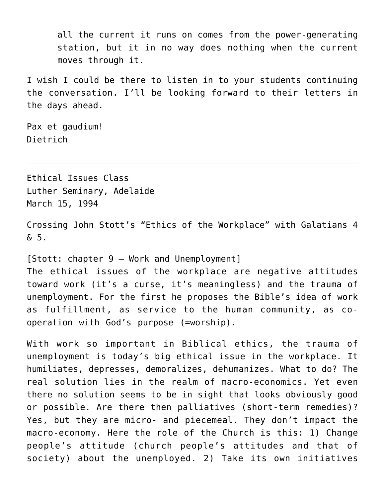all the current it runs on comes from the power-generating station, but it in no way does nothing when the current moves through it.

I wish I could be there to listen in to your students continuing the conversation. I'll be looking forward to their letters in the days ahead.

Pax et gaudium! Dietrich

Ethical Issues Class Luther Seminary, Adelaide March 15, 1994

Crossing John Stott's "Ethics of the Workplace" with Galatians 4 & 5.

[Stott: chapter 9 – Work and Unemployment] The ethical issues of the workplace are negative attitudes toward work (it's a curse, it's meaningless) and the trauma of unemployment. For the first he proposes the Bible's idea of work as fulfillment, as service to the human community, as cooperation with God's purpose (=worship).

With work so important in Biblical ethics, the trauma of unemployment is today's big ethical issue in the workplace. It humiliates, depresses, demoralizes, dehumanizes. What to do? The real solution lies in the realm of macro-economics. Yet even there no solution seems to be in sight that looks obviously good or possible. Are there then palliatives (short-term remedies)? Yes, but they are micro- and piecemeal. They don't impact the macro-economy. Here the role of the Church is this: 1) Change people's attitude (church people's attitudes and that of society) about the unemployed. 2) Take its own initiatives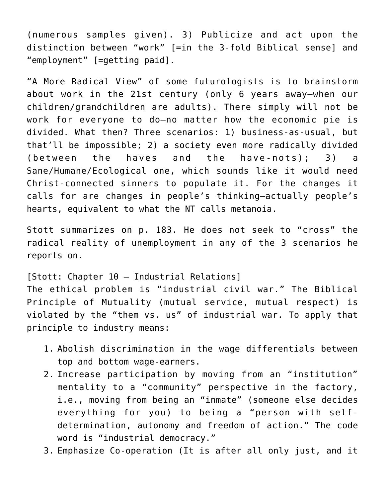(numerous samples given). 3) Publicize and act upon the distinction between "work" [=in the 3-fold Biblical sense] and "employment" [=getting paid].

"A More Radical View" of some futurologists is to brainstorm about work in the 21st century (only 6 years away–when our children/grandchildren are adults). There simply will not be work for everyone to do–no matter how the economic pie is divided. What then? Three scenarios: 1) business-as-usual, but that'll be impossible; 2) a society even more radically divided (between the haves and the have-nots); 3) a Sane/Humane/Ecological one, which sounds like it would need Christ-connected sinners to populate it. For the changes it calls for are changes in people's thinking–actually people's hearts, equivalent to what the NT calls metanoia.

Stott summarizes on p. 183. He does not seek to "cross" the radical reality of unemployment in any of the 3 scenarios he reports on.

[Stott: Chapter 10 – Industrial Relations] The ethical problem is "industrial civil war." The Biblical Principle of Mutuality (mutual service, mutual respect) is violated by the "them vs. us" of industrial war. To apply that principle to industry means:

- 1. Abolish discrimination in the wage differentials between top and bottom wage-earners.
- 2. Increase participation by moving from an "institution" mentality to a "community" perspective in the factory, i.e., moving from being an "inmate" (someone else decides everything for you) to being a "person with selfdetermination, autonomy and freedom of action." The code word is "industrial democracy."
- 3. Emphasize Co-operation (It is after all only just, and it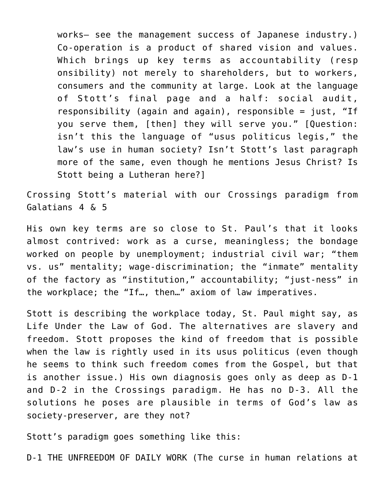works– see the management success of Japanese industry.) Co-operation is a product of shared vision and values. Which brings up key terms as accountability (resp onsibility) not merely to shareholders, but to workers, consumers and the community at large. Look at the language of Stott's final page and a half: social audit, responsibility (again and again), responsible = just, "If you serve them, [then] they will serve you." [Question: isn't this the language of "usus politicus legis," the law's use in human society? Isn't Stott's last paragraph more of the same, even though he mentions Jesus Christ? Is Stott being a Lutheran here?]

Crossing Stott's material with our Crossings paradigm from Galatians 4 & 5

His own key terms are so close to St. Paul's that it looks almost contrived: work as a curse, meaningless; the bondage worked on people by unemployment; industrial civil war; "them vs. us" mentality; wage-discrimination; the "inmate" mentality of the factory as "institution," accountability; "just-ness" in the workplace; the "If…, then…" axiom of law imperatives.

Stott is describing the workplace today, St. Paul might say, as Life Under the Law of God. The alternatives are slavery and freedom. Stott proposes the kind of freedom that is possible when the law is rightly used in its usus politicus (even though he seems to think such freedom comes from the Gospel, but that is another issue.) His own diagnosis goes only as deep as D-1 and D-2 in the Crossings paradigm. He has no D-3. All the solutions he poses are plausible in terms of God's law as society-preserver, are they not?

Stott's paradigm goes something like this:

D-1 THE UNFREEDOM OF DAILY WORK (The curse in human relations at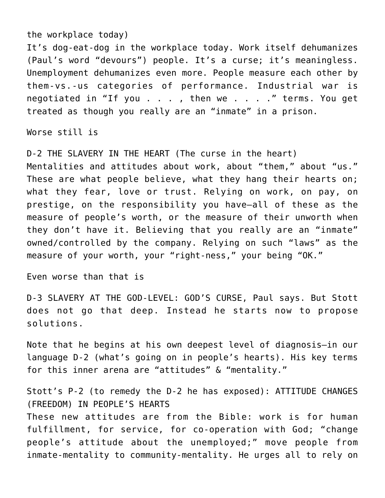#### the workplace today)

It's dog-eat-dog in the workplace today. Work itself dehumanizes (Paul's word "devours") people. It's a curse; it's meaningless. Unemployment dehumanizes even more. People measure each other by them-vs.-us categories of performance. Industrial war is negotiated in "If you . . . , then we . . . ." terms. You get treated as though you really are an "inmate" in a prison.

Worse still is

D-2 THE SLAVERY IN THE HEART (The curse in the heart) Mentalities and attitudes about work, about "them," about "us." These are what people believe, what they hang their hearts on; what they fear, love or trust. Relying on work, on pay, on prestige, on the responsibility you have–all of these as the measure of people's worth, or the measure of their unworth when they don't have it. Believing that you really are an "inmate" owned/controlled by the company. Relying on such "laws" as the measure of your worth, your "right-ness," your being "OK."

Even worse than that is

D-3 SLAVERY AT THE GOD-LEVEL: GOD'S CURSE, Paul says. But Stott does not go that deep. Instead he starts now to propose solutions.

Note that he begins at his own deepest level of diagnosis–in our language D-2 (what's going on in people's hearts). His key terms for this inner arena are "attitudes" & "mentality."

Stott's P-2 (to remedy the D-2 he has exposed): ATTITUDE CHANGES (FREEDOM) IN PEOPLE'S HEARTS These new attitudes are from the Bible: work is for human fulfillment, for service, for co-operation with God; "change people's attitude about the unemployed;" move people from inmate-mentality to community-mentality. He urges all to rely on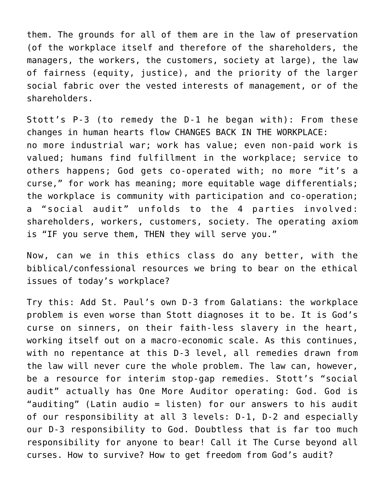them. The grounds for all of them are in the law of preservation (of the workplace itself and therefore of the shareholders, the managers, the workers, the customers, society at large), the law of fairness (equity, justice), and the priority of the larger social fabric over the vested interests of management, or of the shareholders.

Stott's P-3 (to remedy the D-1 he began with): From these changes in human hearts flow CHANGES BACK IN THE WORKPLACE: no more industrial war; work has value; even non-paid work is valued; humans find fulfillment in the workplace; service to others happens; God gets co-operated with; no more "it's a curse," for work has meaning; more equitable wage differentials; the workplace is community with participation and co-operation; a "social audit" unfolds to the 4 parties involved: shareholders, workers, customers, society. The operating axiom is "IF you serve them, THEN they will serve you."

Now, can we in this ethics class do any better, with the biblical/confessional resources we bring to bear on the ethical issues of today's workplace?

Try this: Add St. Paul's own D-3 from Galatians: the workplace problem is even worse than Stott diagnoses it to be. It is God's curse on sinners, on their faith-less slavery in the heart, working itself out on a macro-economic scale. As this continues, with no repentance at this D-3 level, all remedies drawn from the law will never cure the whole problem. The law can, however, be a resource for interim stop-gap remedies. Stott's "social audit" actually has One More Auditor operating: God. God is "auditing" (Latin audio = listen) for our answers to his audit of our responsibility at all 3 levels: D-1, D-2 and especially our D-3 responsibility to God. Doubtless that is far too much responsibility for anyone to bear! Call it The Curse beyond all curses. How to survive? How to get freedom from God's audit?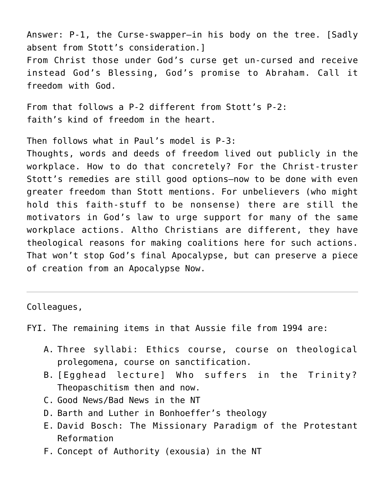Answer: P-1, the Curse-swapper–in his body on the tree. [Sadly absent from Stott's consideration.] From Christ those under God's curse get un-cursed and receive instead God's Blessing, God's promise to Abraham. Call it freedom with God.

From that follows a P-2 different from Stott's P-2: faith's kind of freedom in the heart.

Then follows what in Paul's model is P-3:

Thoughts, words and deeds of freedom lived out publicly in the workplace. How to do that concretely? For the Christ-truster Stott's remedies are still good options–now to be done with even greater freedom than Stott mentions. For unbelievers (who might hold this faith-stuff to be nonsense) there are still the motivators in God's law to urge support for many of the same workplace actions. Altho Christians are different, they have theological reasons for making coalitions here for such actions. That won't stop God's final Apocalypse, but can preserve a piece of creation from an Apocalypse Now.

#### Colleagues,

FYI. The remaining items in that Aussie file from 1994 are:

- A. Three syllabi: Ethics course, course on theological prolegomena, course on sanctification.
- B. [Egghead lecture] Who suffers in the Trinity? Theopaschitism then and now.
- C. Good News/Bad News in the NT
- D. Barth and Luther in Bonhoeffer's theology
- E. David Bosch: The Missionary Paradigm of the Protestant Reformation
- F. Concept of Authority (exousia) in the NT